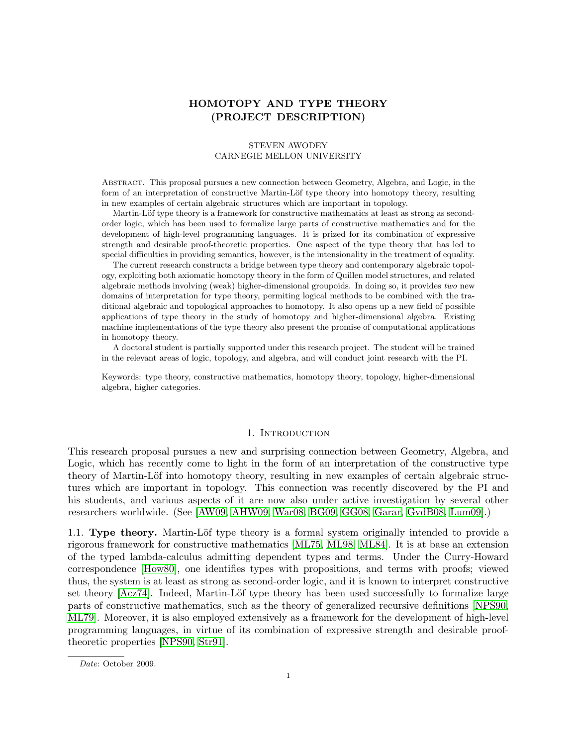# HOMOTOPY AND TYPE THEORY (PROJECT DESCRIPTION)

### STEVEN AWODEY CARNEGIE MELLON UNIVERSITY

Abstract. This proposal pursues a new connection between Geometry, Algebra, and Logic, in the form of an interpretation of constructive Martin-Löf type theory into homotopy theory, resulting in new examples of certain algebraic structures which are important in topology.

Martin-Löf type theory is a framework for constructive mathematics at least as strong as secondorder logic, which has been used to formalize large parts of constructive mathematics and for the development of high-level programming languages. It is prized for its combination of expressive strength and desirable proof-theoretic properties. One aspect of the type theory that has led to special difficulties in providing semantics, however, is the intensionality in the treatment of equality.

The current research constructs a bridge between type theory and contemporary algebraic topology, exploiting both axiomatic homotopy theory in the form of Quillen model structures, and related algebraic methods involving (weak) higher-dimensional groupoids. In doing so, it provides two new domains of interpretation for type theory, permiting logical methods to be combined with the traditional algebraic and topological approaches to homotopy. It also opens up a new field of possible applications of type theory in the study of homotopy and higher-dimensional algebra. Existing machine implementations of the type theory also present the promise of computational applications in homotopy theory.

A doctoral student is partially supported under this research project. The student will be trained in the relevant areas of logic, topology, and algebra, and will conduct joint research with the PI.

Keywords: type theory, constructive mathematics, homotopy theory, topology, higher-dimensional algebra, higher categories.

#### 1. INTRODUCTION

This research proposal pursues a new and surprising connection between Geometry, Algebra, and Logic, which has recently come to light in the form of an interpretation of the constructive type theory of Martin-Löf into homotopy theory, resulting in new examples of certain algebraic structures which are important in topology. This connection was recently discovered by the PI and his students, and various aspects of it are now also under active investigation by several other researchers worldwide. (See [\[AW09,](#page-15-0) [AHW09,](#page-15-1) [War08,](#page-16-0) [BG09,](#page-15-2) [GG08,](#page-15-3) [Garar,](#page-15-4) [GvdB08,](#page-15-5) [Lum09\]](#page-16-1).)

1.1. Type theory. Martin-Löf type theory is a formal system originally intended to provide a rigorous framework for constructive mathematics [\[ML75,](#page-16-2) [ML98,](#page-16-3) [ML84\]](#page-16-4). It is at base an extension of the typed lambda-calculus admitting dependent types and terms. Under the Curry-Howard correspondence [\[How80\]](#page-15-6), one identifies types with propositions, and terms with proofs; viewed thus, the system is at least as strong as second-order logic, and it is known to interpret constructive set theory [\[Acz74\]](#page-15-7). Indeed, Martin-Löf type theory has been used successfully to formalize large parts of constructive mathematics, such as the theory of generalized recursive definitions [\[NPS90,](#page-16-5) [ML79\]](#page-16-6). Moreover, it is also employed extensively as a framework for the development of high-level programming languages, in virtue of its combination of expressive strength and desirable prooftheoretic properties [\[NPS90,](#page-16-5) [Str91\]](#page-16-7).

Date: October 2009.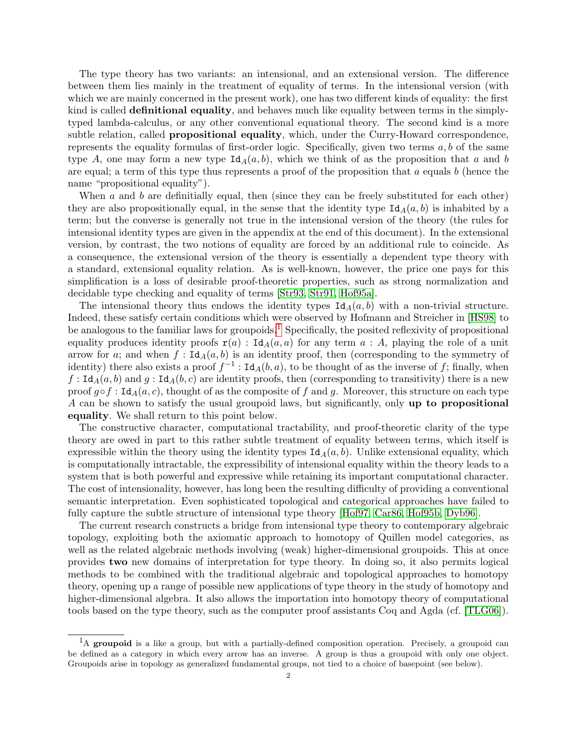The type theory has two variants: an intensional, and an extensional version. The difference between them lies mainly in the treatment of equality of terms. In the intensional version (with which we are mainly concerned in the present work), one has two different kinds of equality: the first kind is called definitional equality, and behaves much like equality between terms in the simplytyped lambda-calculus, or any other conventional equational theory. The second kind is a more subtle relation, called **propositional equality**, which, under the Curry-Howard correspondence, represents the equality formulas of first-order logic. Specifically, given two terms  $a, b$  of the same type A, one may form a new type  $Id_A(a, b)$ , which we think of as the proposition that a and b are equal; a term of this type thus represents a proof of the proposition that  $a$  equals  $b$  (hence the name "propositional equality").

When  $a$  and  $b$  are definitially equal, then (since they can be freely substituted for each other) they are also propositionally equal, in the sense that the identity type  $\text{Id}_A(a, b)$  is inhabited by a term; but the converse is generally not true in the intensional version of the theory (the rules for intensional identity types are given in the appendix at the end of this document). In the extensional version, by contrast, the two notions of equality are forced by an additional rule to coincide. As a consequence, the extensional version of the theory is essentially a dependent type theory with a standard, extensional equality relation. As is well-known, however, the price one pays for this simplification is a loss of desirable proof-theoretic properties, such as strong normalization and decidable type checking and equality of terms [\[Str93,](#page-16-8) [Str91,](#page-16-7) [Hof95a\]](#page-15-8).

The intensional theory thus endows the identity types  $Id_A(a, b)$  with a non-trivial structure. Indeed, these satisfy certain conditions which were observed by Hofmann and Streicher in [\[HS98\]](#page-15-9) to be analogous to the familiar laws for groupoids.<sup>[1](#page-1-0)</sup> Specifically, the posited reflexivity of propositional equality produces identity proofs  $r(a)$ : Id<sub>A</sub> $(a, a)$  for any term  $a : A$ , playing the role of a unit arrow for a; and when  $f : \text{Id}_A(a, b)$  is an identity proof, then (corresponding to the symmetry of identity) there also exists a proof  $f^{-1}$ : Id<sub>A</sub> $(b, a)$ , to be thought of as the inverse of f; finally, when  $f : \text{Id}_A(a, b)$  and  $g : \text{Id}_A(b, c)$  are identity proofs, then (corresponding to transitivity) there is a new proof  $g \circ f : \text{Id}_A(a, c)$ , thought of as the composite of f and g. Moreover, this structure on each type A can be shown to satisfy the usual groupoid laws, but significantly, only up to propositional equality. We shall return to this point below.

The constructive character, computational tractability, and proof-theoretic clarity of the type theory are owed in part to this rather subtle treatment of equality between terms, which itself is expressible within the theory using the identity types  $\text{Id}_A(a, b)$ . Unlike extensional equality, which is computationally intractable, the expressibility of intensional equality within the theory leads to a system that is both powerful and expressive while retaining its important computational character. The cost of intensionality, however, has long been the resulting difficulty of providing a conventional semantic interpretation. Even sophisticated topological and categorical approaches have failed to fully capture the subtle structure of intensional type theory [\[Hof97,](#page-15-10) [Car86,](#page-15-11) [Hof95b,](#page-15-12) [Dyb96\]](#page-15-13).

The current research constructs a bridge from intensional type theory to contemporary algebraic topology, exploiting both the axiomatic approach to homotopy of Quillen model categories, as well as the related algebraic methods involving (weak) higher-dimensional groupoids. This at once provides two new domains of interpretation for type theory. In doing so, it also permits logical methods to be combined with the traditional algebraic and topological approaches to homotopy theory, opening up a range of possible new applications of type theory in the study of homotopy and higher-dimensional algebra. It also allows the importation into homotopy theory of computational tools based on the type theory, such as the computer proof assistants Coq and Agda (cf. [\[TLG06\]](#page-16-9)).

<span id="page-1-0"></span> $<sup>1</sup>A$  groupoid is a like a group, but with a partially-defined composition operation. Precisely, a groupoid can</sup> be defined as a category in which every arrow has an inverse. A group is thus a groupoid with only one object. Groupoids arise in topology as generalized fundamental groups, not tied to a choice of basepoint (see below).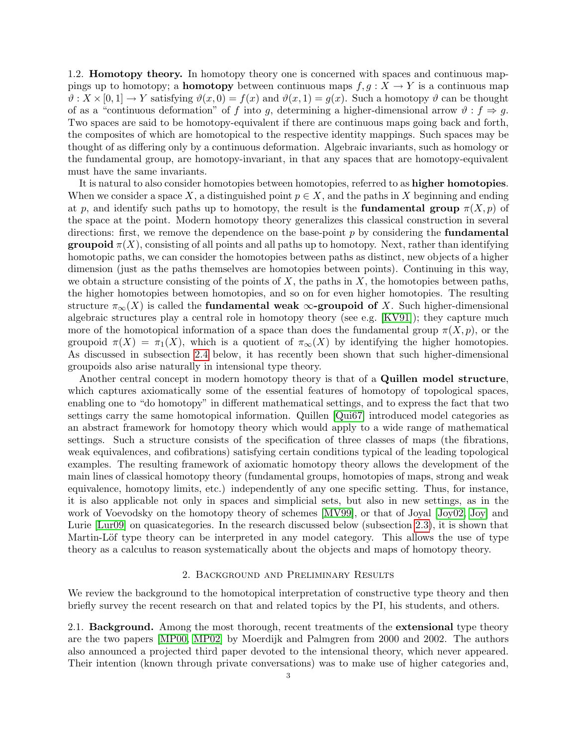1.2. Homotopy theory. In homotopy theory one is concerned with spaces and continuous mappings up to homotopy; a **homotopy** between continuous maps  $f, g: X \to Y$  is a continuous map  $\vartheta$ :  $X \times [0, 1] \to Y$  satisfying  $\vartheta(x, 0) = f(x)$  and  $\vartheta(x, 1) = g(x)$ . Such a homotopy  $\vartheta$  can be thought of as a "continuous deformation" of f into g, determining a higher-dimensional arrow  $\vartheta : f \Rightarrow g$ . Two spaces are said to be homotopy-equivalent if there are continuous maps going back and forth, the composites of which are homotopical to the respective identity mappings. Such spaces may be thought of as differing only by a continuous deformation. Algebraic invariants, such as homology or the fundamental group, are homotopy-invariant, in that any spaces that are homotopy-equivalent must have the same invariants.

It is natural to also consider homotopies between homotopies, referred to as higher homotopies. When we consider a space X, a distinguished point  $p \in X$ , and the paths in X beginning and ending at p, and identify such paths up to homotopy, the result is the **fundamental group**  $\pi(X, p)$  of the space at the point. Modern homotopy theory generalizes this classical construction in several directions: first, we remove the dependence on the base-point  $p$  by considering the **fundamental groupoid**  $\pi(X)$ , consisting of all points and all paths up to homotopy. Next, rather than identifying homotopic paths, we can consider the homotopies between paths as distinct, new objects of a higher dimension (just as the paths themselves are homotopies between points). Continuing in this way, we obtain a structure consisting of the points of  $X$ , the paths in  $X$ , the homotopies between paths, the higher homotopies between homotopies, and so on for even higher homotopies. The resulting structure  $\pi_{\infty}(X)$  is called the **fundamental weak**  $\infty$ -groupoid of X. Such higher-dimensional algebraic structures play a central role in homotopy theory (see e.g. [\[KV91\]](#page-16-10)); they capture much more of the homotopical information of a space than does the fundamental group  $\pi(X, p)$ , or the groupoid  $\pi(X) = \pi_1(X)$ , which is a quotient of  $\pi_{\infty}(X)$  by identifying the higher homotopies. As discussed in subsection [2.4](#page-7-0) below, it has recently been shown that such higher-dimensional groupoids also arise naturally in intensional type theory.

Another central concept in modern homotopy theory is that of a Quillen model structure, which captures axiomatically some of the essential features of homotopy of topological spaces, enabling one to "do homotopy" in different mathematical settings, and to express the fact that two settings carry the same homotopical information. Quillen [\[Qui67\]](#page-16-11) introduced model categories as an abstract framework for homotopy theory which would apply to a wide range of mathematical settings. Such a structure consists of the specification of three classes of maps (the fibrations, weak equivalences, and cofibrations) satisfying certain conditions typical of the leading topological examples. The resulting framework of axiomatic homotopy theory allows the development of the main lines of classical homotopy theory (fundamental groups, homotopies of maps, strong and weak equivalence, homotopy limits, etc.) independently of any one specific setting. Thus, for instance, it is also applicable not only in spaces and simplicial sets, but also in new settings, as in the work of Voevodsky on the homotopy theory of schemes [\[MV99\]](#page-16-12), or that of Joyal [\[Joy02,](#page-15-14) [Joy\]](#page-15-15) and Lurie [\[Lur09\]](#page-16-13) on quasicategories. In the research discussed below (subsection [2.3\)](#page-4-0), it is shown that Martin-Löf type theory can be interpreted in any model category. This allows the use of type theory as a calculus to reason systematically about the objects and maps of homotopy theory.

### 2. Background and Preliminary Results

We review the background to the homotopical interpretation of constructive type theory and then briefly survey the recent research on that and related topics by the PI, his students, and others.

2.1. Background. Among the most thorough, recent treatments of the extensional type theory are the two papers [\[MP00,](#page-16-14) [MP02\]](#page-16-15) by Moerdijk and Palmgren from 2000 and 2002. The authors also announced a projected third paper devoted to the intensional theory, which never appeared. Their intention (known through private conversations) was to make use of higher categories and,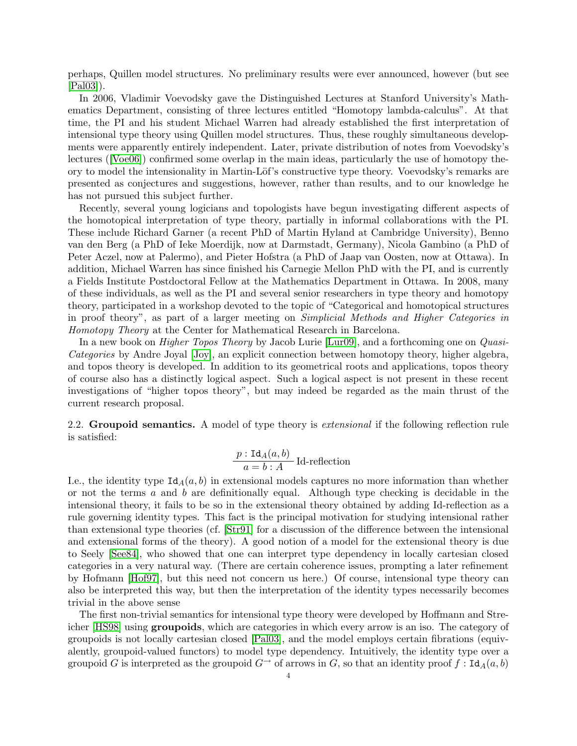perhaps, Quillen model structures. No preliminary results were ever announced, however (but see [\[Pal03\]](#page-16-16)).

In 2006, Vladimir Voevodsky gave the Distinguished Lectures at Stanford University's Mathematics Department, consisting of three lectures entitled "Homotopy lambda-calculus". At that time, the PI and his student Michael Warren had already established the first interpretation of intensional type theory using Quillen model structures. Thus, these roughly simultaneous developments were apparently entirely independent. Later, private distribution of notes from Voevodsky's lectures ([\[Voe06\]](#page-16-17)) confirmed some overlap in the main ideas, particularly the use of homotopy theory to model the intensionality in Martin-Löf's constructive type theory. Voevodsky's remarks are presented as conjectures and suggestions, however, rather than results, and to our knowledge he has not pursued this subject further.

Recently, several young logicians and topologists have begun investigating different aspects of the homotopical interpretation of type theory, partially in informal collaborations with the PI. These include Richard Garner (a recent PhD of Martin Hyland at Cambridge University), Benno van den Berg (a PhD of Ieke Moerdijk, now at Darmstadt, Germany), Nicola Gambino (a PhD of Peter Aczel, now at Palermo), and Pieter Hofstra (a PhD of Jaap van Oosten, now at Ottawa). In addition, Michael Warren has since finished his Carnegie Mellon PhD with the PI, and is currently a Fields Institute Postdoctoral Fellow at the Mathematics Department in Ottawa. In 2008, many of these individuals, as well as the PI and several senior researchers in type theory and homotopy theory, participated in a workshop devoted to the topic of "Categorical and homotopical structures in proof theory", as part of a larger meeting on Simplicial Methods and Higher Categories in Homotopy Theory at the Center for Mathematical Research in Barcelona.

In a new book on *Higher Topos Theory* by Jacob Lurie [\[Lur09\]](#page-16-13), and a forthcoming one on *Quasi-*Categories by Andre Joyal [\[Joy\]](#page-15-15), an explicit connection between homotopy theory, higher algebra, and topos theory is developed. In addition to its geometrical roots and applications, topos theory of course also has a distinctly logical aspect. Such a logical aspect is not present in these recent investigations of "higher topos theory", but may indeed be regarded as the main thrust of the current research proposal.

2.2. Groupoid semantics. A model of type theory is *extensional* if the following reflection rule is satisfied:

$$
\frac{p: \text{Id}_A(a, b)}{a = b: A}
$$
 Id-reflection

I.e., the identity type  $Id_A(a, b)$  in extensional models captures no more information than whether or not the terms  $\alpha$  and  $\beta$  are definitionally equal. Although type checking is decidable in the intensional theory, it fails to be so in the extensional theory obtained by adding Id-reflection as a rule governing identity types. This fact is the principal motivation for studying intensional rather than extensional type theories (cf. [\[Str91\]](#page-16-7) for a discussion of the difference between the intensional and extensional forms of the theory). A good notion of a model for the extensional theory is due to Seely [\[See84\]](#page-16-18), who showed that one can interpret type dependency in locally cartesian closed categories in a very natural way. (There are certain coherence issues, prompting a later refinement by Hofmann [\[Hof97\]](#page-15-10), but this need not concern us here.) Of course, intensional type theory can also be interpreted this way, but then the interpretation of the identity types necessarily becomes trivial in the above sense

The first non-trivial semantics for intensional type theory were developed by Hoffmann and Streicher [\[HS98\]](#page-15-9) using groupoids, which are categories in which every arrow is an iso. The category of groupoids is not locally cartesian closed [\[Pal03\]](#page-16-16), and the model employs certain fibrations (equivalently, groupoid-valued functors) to model type dependency. Intuitively, the identity type over a groupoid G is interpreted as the groupoid  $G^{\rightarrow}$  of arrows in G, so that an identity proof  $f : \text{Id}_A(a, b)$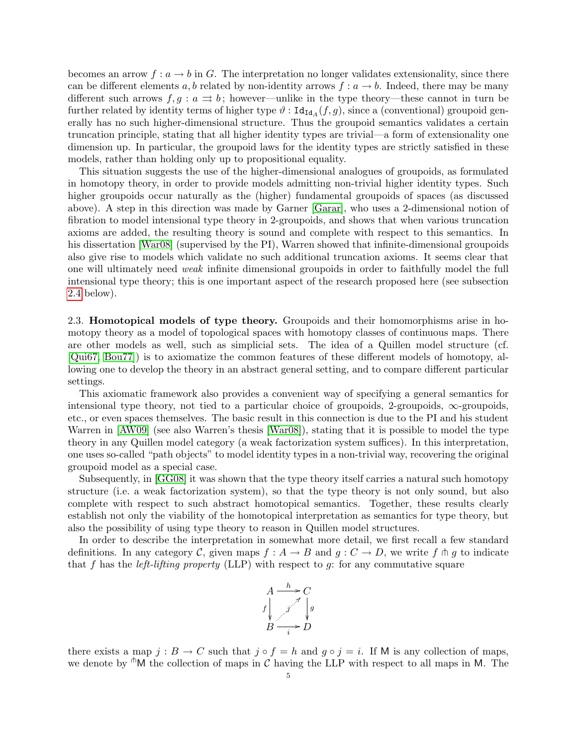becomes an arrow  $f: a \to b$  in G. The interpretation no longer validates extensionality, since there can be different elements a, b related by non-identity arrows  $f: a \rightarrow b$ . Indeed, there may be many different such arrows  $f, g : a \rightrightarrows b$ ; however—unlike in the type theory—these cannot in turn be further related by identity terms of higher type  $\vartheta$  :  $\text{Id}_{\text{Id}_A}(f,g)$ , since a (conventional) groupoid generally has no such higher-dimensional structure. Thus the groupoid semantics validates a certain truncation principle, stating that all higher identity types are trivial—a form of extensionality one dimension up. In particular, the groupoid laws for the identity types are strictly satisfied in these models, rather than holding only up to propositional equality.

This situation suggests the use of the higher-dimensional analogues of groupoids, as formulated in homotopy theory, in order to provide models admitting non-trivial higher identity types. Such higher groupoids occur naturally as the (higher) fundamental groupoids of spaces (as discussed above). A step in this direction was made by Garner [\[Garar\]](#page-15-4), who uses a 2-dimensional notion of fibration to model intensional type theory in 2-groupoids, and shows that when various truncation axioms are added, the resulting theory is sound and complete with respect to this semantics. In his dissertation [\[War08\]](#page-16-0) (supervised by the PI), Warren showed that infinite-dimensional groupoids also give rise to models which validate no such additional truncation axioms. It seems clear that one will ultimately need weak infinite dimensional groupoids in order to faithfully model the full intensional type theory; this is one important aspect of the research proposed here (see subsection [2.4](#page-7-0) below).

<span id="page-4-0"></span>2.3. Homotopical models of type theory. Groupoids and their homomorphisms arise in homotopy theory as a model of topological spaces with homotopy classes of continuous maps. There are other models as well, such as simplicial sets. The idea of a Quillen model structure (cf. [\[Qui67,](#page-16-11) [Bou77\]](#page-15-16)) is to axiomatize the common features of these different models of homotopy, allowing one to develop the theory in an abstract general setting, and to compare different particular settings.

This axiomatic framework also provides a convenient way of specifying a general semantics for intensional type theory, not tied to a particular choice of groupoids, 2-groupoids,  $\infty$ -groupoids, etc., or even spaces themselves. The basic result in this connection is due to the PI and his student Warren in [\[AW09\]](#page-15-0) (see also Warren's thesis [\[War08\]](#page-16-0)), stating that it is possible to model the type theory in any Quillen model category (a weak factorization system suffices). In this interpretation, one uses so-called "path objects" to model identity types in a non-trivial way, recovering the original groupoid model as a special case.

Subsequently, in [\[GG08\]](#page-15-3) it was shown that the type theory itself carries a natural such homotopy structure (i.e. a weak factorization system), so that the type theory is not only sound, but also complete with respect to such abstract homotopical semantics. Together, these results clearly establish not only the viability of the homotopical interpretation as semantics for type theory, but also the possibility of using type theory to reason in Quillen model structures.

In order to describe the interpretation in somewhat more detail, we first recall a few standard definitions. In any category C, given maps  $f : A \to B$  and  $g : C \to D$ , we write f  $\uparrow \uparrow g$  to indicate that f has the *left-lifting property* (LLP) with respect to  $g$ : for any commutative square



there exists a map  $j : B \to C$  such that  $j \circ f = h$  and  $g \circ j = i$ . If M is any collection of maps, we denote by  $\mathbb{M}$  the collection of maps in C having the LLP with respect to all maps in M. The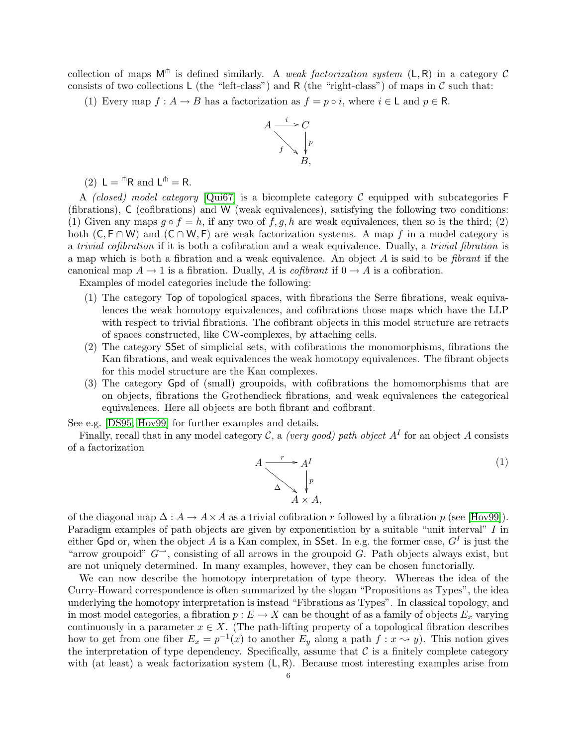collection of maps  $M<sup>th</sup>$  is defined similarly. A weak factorization system  $(L, R)$  in a category C consists of two collections  $L$  (the "left-class") and R (the "right-class") of maps in  $C$  such that:

(1) Every map  $f: A \to B$  has a factorization as  $f = p \circ i$ , where  $i \in L$  and  $p \in R$ .



(2)  $L = \mathbb{R}$  and  $L^{\mathbb{R}} = R$ .

A (closed) model category  $[Qui67]$  is a bicomplete category C equipped with subcategories F (fibrations), C (cofibrations) and W (weak equivalences), satisfying the following two conditions: (1) Given any maps  $g \circ f = h$ , if any two of  $f, g, h$  are weak equivalences, then so is the third; (2) both  $(C, F \cap W)$  and  $(C \cap W, F)$  are weak factorization systems. A map f in a model category is a trivial cofibration if it is both a cofibration and a weak equivalence. Dually, a trivial fibration is a map which is both a fibration and a weak equivalence. An object  $A$  is said to be *fibrant* if the canonical map  $A \to 1$  is a fibration. Dually, A is *cofibrant* if  $0 \to A$  is a cofibration.

Examples of model categories include the following:

- (1) The category Top of topological spaces, with fibrations the Serre fibrations, weak equivalences the weak homotopy equivalences, and cofibrations those maps which have the LLP with respect to trivial fibrations. The cofibrant objects in this model structure are retracts of spaces constructed, like CW-complexes, by attaching cells.
- (2) The category SSet of simplicial sets, with cofibrations the monomorphisms, fibrations the Kan fibrations, and weak equivalences the weak homotopy equivalences. The fibrant objects for this model structure are the Kan complexes.
- (3) The category Gpd of (small) groupoids, with cofibrations the homomorphisms that are on objects, fibrations the Grothendieck fibrations, and weak equivalences the categorical equivalences. Here all objects are both fibrant and cofibrant.

See e.g. [\[DS95,](#page-15-17) [Hov99\]](#page-15-18) for further examples and details.

Finally, recall that in any model category C, a *(very good)* path object  $A<sup>I</sup>$  for an object A consists of a factorization

<span id="page-5-0"></span>
$$
A \xrightarrow{r} A^I
$$
  
\n
$$
\Delta \searrow \psi
$$
  
\n
$$
A \times A,
$$
  
\n(1)

of the diagonal map  $\Delta: A \to A \times A$  as a trivial cofibration r followed by a fibration p (see [\[Hov99\]](#page-15-18)). Paradigm examples of path objects are given by exponentiation by a suitable "unit interval" I in either Gpd or, when the object A is a Kan complex, in SSet. In e.g. the former case,  $G^I$  is just the "arrow groupoid"  $G^{\rightarrow}$ , consisting of all arrows in the groupoid G. Path objects always exist, but are not uniquely determined. In many examples, however, they can be chosen functorially.

We can now describe the homotopy interpretation of type theory. Whereas the idea of the Curry-Howard correspondence is often summarized by the slogan "Propositions as Types", the idea underlying the homotopy interpretation is instead "Fibrations as Types". In classical topology, and in most model categories, a fibration  $p : E \to X$  can be thought of as a family of objects  $E_x$  varying continuously in a parameter  $x \in X$ . (The path-lifting property of a topological fibration describes how to get from one fiber  $E_x = p^{-1}(x)$  to another  $E_y$  along a path  $f: x \leadsto y$ ). This notion gives the interpretation of type dependency. Specifically, assume that  $\mathcal C$  is a finitely complete category with (at least) a weak factorization system  $(L, R)$ . Because most interesting examples arise from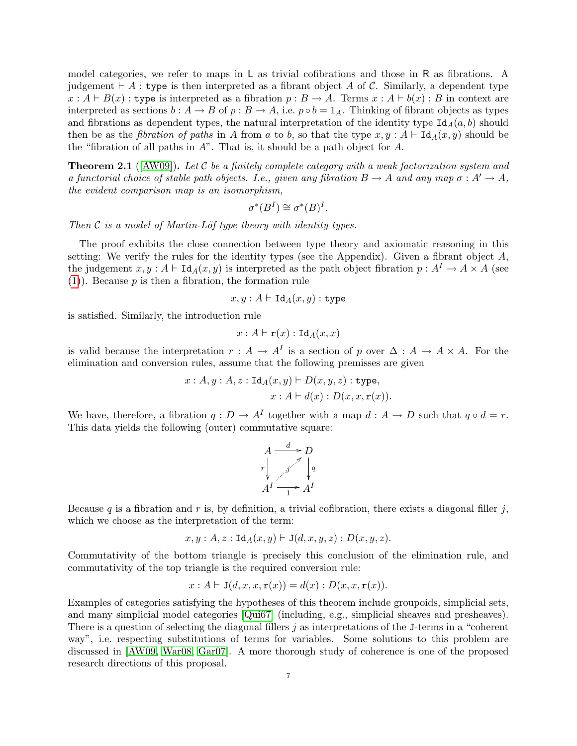model categories, we refer to maps in L as trivial cofibrations and those in R as fibrations. A judgement  $\vdash A$ : type is then interpreted as a fibrant object A of C. Similarly, a dependent type  $x : A \vdash B(x) :$  type is interpreted as a fibration  $p : B \to A$ . Terms  $x : A \vdash b(x) : B$  in context are interpreted as sections  $b: A \to B$  of  $p: B \to A$ , i.e.  $p \circ b = 1_A$ . Thinking of fibrant objects as types and fibrations as dependent types, the natural interpretation of the identity type  $Id_A(a, b)$  should then be as the *fibration of paths* in A from a to b, so that the type  $x, y : A \vdash \text{Id}_A(x, y)$  should be the "fibration of all paths in  $A$ ". That is, it should be a path object for  $A$ .

**Theorem 2.1** ([\[AW09\]](#page-15-0)). Let C be a finitely complete category with a weak factorization system and a functorial choice of stable path objects. I.e., given any fibration  $B \to A$  and any map  $\sigma : A' \to A$ , the evident comparison map is an isomorphism,

$$
\sigma^*(B^I) \cong \sigma^*(B)^I.
$$

Then  $\mathcal C$  is a model of Martin-Löf type theory with identity types.

The proof exhibits the close connection between type theory and axiomatic reasoning in this setting: We verify the rules for the identity types (see the Appendix). Given a fibrant object  $A$ , the judgement  $x, y : A \vdash \text{Id}_A(x, y)$  is interpreted as the path object fibration  $p : A^I \to A \times A$  (see  $(1)$ ). Because p is then a fibration, the formation rule

$$
x,y:A\vdash \mathtt{Id}_A(x,y):\mathtt{type}
$$

is satisfied. Similarly, the introduction rule

$$
x:A\vdash \mathtt{r}(x):\mathtt{Id}_A(x,x)
$$

is valid because the interpretation  $r : A \to A^I$  is a section of p over  $\Delta : A \to A \times A$ . For the elimination and conversion rules, assume that the following premisses are given

$$
x:A, y:A, z: \text{Id}_{A}(x, y) \vdash D(x, y, z): \text{type},
$$

$$
x:A \vdash d(x): D(x, x, \mathbf{r}(x)).
$$

We have, therefore, a fibration  $q: D \to A^I$  together with a map  $d: A \to D$  such that  $q \circ d = r$ . This data yields the following (outer) commutative square:

$$
A \xrightarrow{d} D
$$
\n
$$
r \downarrow \qquad \qquad \nearrow \qquad \downarrow q
$$
\n
$$
A^I \xrightarrow{1} A^I
$$

Because q is a fibration and r is, by definition, a trivial cofibration, there exists a diagonal filler  $j$ , which we choose as the interpretation of the term:

$$
x, y : A, z : \text{Id}_A(x, y) \vdash \text{J}(d, x, y, z) : D(x, y, z).
$$

Commutativity of the bottom triangle is precisely this conclusion of the elimination rule, and commutativity of the top triangle is the required conversion rule:

$$
x: A \vdash J(d, x, x, \mathbf{r}(x)) = d(x): D(x, x, \mathbf{r}(x)).
$$

Examples of categories satisfying the hypotheses of this theorem include groupoids, simplicial sets, and many simplicial model categories [\[Qui67\]](#page-16-11) (including, e.g., simplicial sheaves and presheaves). There is a question of selecting the diagonal fillers  $j$  as interpretations of the J-terms in a "coherent" way", i.e. respecting substitutions of terms for variables. Some solutions to this problem are discussed in [\[AW09,](#page-15-0) [War08,](#page-16-0) [Gar07\]](#page-15-19). A more thorough study of coherence is one of the proposed research directions of this proposal.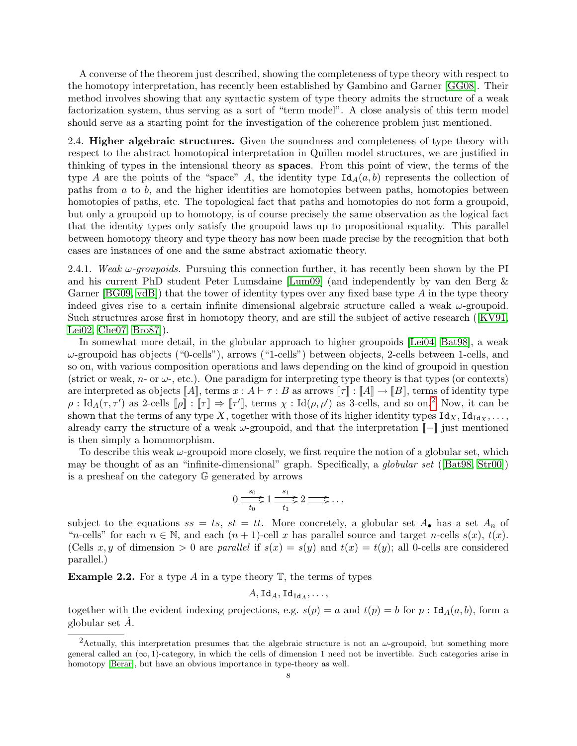A converse of the theorem just described, showing the completeness of type theory with respect to the homotopy interpretation, has recently been established by Gambino and Garner [\[GG08\]](#page-15-3). Their method involves showing that any syntactic system of type theory admits the structure of a weak factorization system, thus serving as a sort of "term model". A close analysis of this term model should serve as a starting point for the investigation of the coherence problem just mentioned.

<span id="page-7-0"></span>2.4. Higher algebraic structures. Given the soundness and completeness of type theory with respect to the abstract homotopical interpretation in Quillen model structures, we are justified in thinking of types in the intensional theory as spaces. From this point of view, the terms of the type A are the points of the "space" A, the identity type  $\text{Id}_A(a, b)$  represents the collection of paths from  $a$  to  $b$ , and the higher identities are homotopies between paths, homotopies between homotopies of paths, etc. The topological fact that paths and homotopies do not form a groupoid, but only a groupoid up to homotopy, is of course precisely the same observation as the logical fact that the identity types only satisfy the groupoid laws up to propositional equality. This parallel between homotopy theory and type theory has now been made precise by the recognition that both cases are instances of one and the same abstract axiomatic theory.

2.4.1. Weak  $\omega$ -groupoids. Pursuing this connection further, it has recently been shown by the PI and his current PhD student Peter Lumsdaine [\[Lum09\]](#page-16-1) (and independently by van den Berg & Garner  $[\text{BG09}, \text{vd}]$  that the tower of identity types over any fixed base type A in the type theory indeed gives rise to a certain infinite dimensional algebraic structure called a weak  $\omega$ -groupoid. Such structures arose first in homotopy theory, and are still the subject of active research ([\[KV91,](#page-16-10) [Lei02,](#page-16-20) [Che07,](#page-15-20) [Bro87\]](#page-15-21)).

In somewhat more detail, in the globular approach to higher groupoids [\[Lei04,](#page-16-21) [Bat98\]](#page-15-22), a weak  $\omega$ -groupoid has objects ("0-cells"), arrows ("1-cells") between objects, 2-cells between 1-cells, and so on, with various composition operations and laws depending on the kind of groupoid in question (strict or weak,  $n$ - or  $\omega$ -, etc.). One paradigm for interpreting type theory is that types (or contexts) are interpreted as objects  $\llbracket A \rrbracket$ , terms  $x : A \vdash \tau : B$  as arrows  $\llbracket \tau \rrbracket : \llbracket A \rrbracket \rightarrow \llbracket B \rrbracket$ , terms of identity type  $\rho: \mathrm{Id}_A(\tau, \tau')$  as [2](#page-7-1)-cells  $[\![\rho]\!] : [\![\tau]\!] \Rightarrow [\![\tau']\!]$ , terms  $\chi: \mathrm{Id}(\rho, \rho')$  as 3-cells, and so on.<sup>2</sup> Now, it can be shown that the terms of any type X, together with those of its higher identity types  $Id_X, Id_{Id_X}, \ldots$ , already carry the structure of a weak  $\omega$ -groupoid, and that the interpretation  $\llbracket - \rrbracket$  just mentioned is then simply a homomorphism.

To describe this weak  $\omega$ -groupoid more closely, we first require the notion of a globular set, which may be thought of as an "infinite-dimensional" graph. Specifically, a globular set ([\[Bat98,](#page-15-22) [Str00\]](#page-16-22)) is a presheaf on the category G generated by arrows

$$
0 \xrightarrow[t_0]{s_0} 1 \xrightarrow[t_1]{s_1} 2 \xrightarrow[t_1]{\cdots}
$$

subject to the equations  $ss = ts$ ,  $st = tt$ . More concretely, a globular set  $A_{\bullet}$  has a set  $A_n$  of "n-cells" for each  $n \in \mathbb{N}$ , and each  $(n + 1)$ -cell x has parallel source and target n-cells  $s(x)$ ,  $t(x)$ . (Cells x, y of dimension  $> 0$  are parallel if  $s(x) = s(y)$  and  $t(x) = t(y)$ ; all 0-cells are considered parallel.)

**Example 2.2.** For a type A in a type theory  $\mathbb{T}$ , the terms of types

$$
A,\mathrm{Id}_A,\mathrm{Id}_{\mathrm{Id}_A},\ldots,
$$

together with the evident indexing projections, e.g.  $s(p) = a$  and  $t(p) = b$  for  $p : \text{Id}_A(a, b)$ , form a globular set  $A$ .

<span id="page-7-1"></span><sup>&</sup>lt;sup>2</sup>Actually, this interpretation presumes that the algebraic structure is not an  $\omega$ -groupoid, but something more general called an  $(\infty, 1)$ -category, in which the cells of dimension 1 need not be invertible. Such categories arise in homotopy [\[Berar\]](#page-15-23), but have an obvious importance in type-theory as well.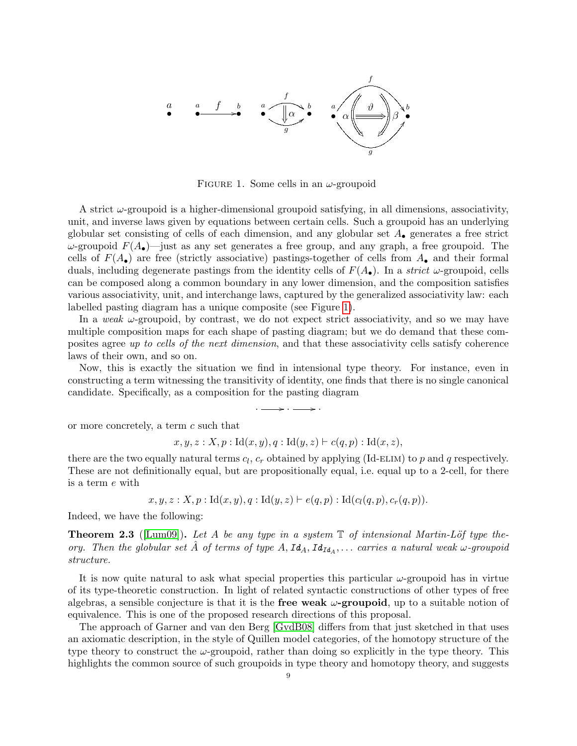• a • a • b / f • a • b f g ; α ! α } \_\*4 β ϑ • a • b f g DD

<span id="page-8-0"></span>FIGURE 1. Some cells in an  $\omega$ -groupoid

A strict  $\omega$ -groupoid is a higher-dimensional groupoid satisfying, in all dimensions, associativity, unit, and inverse laws given by equations between certain cells. Such a groupoid has an underlying globular set consisting of cells of each dimension, and any globular set  $A_{\bullet}$  generates a free strict  $ω$ -groupoid  $F(A_{\bullet})$ —just as any set generates a free group, and any graph, a free groupoid. The cells of  $F(A_{\bullet})$  are free (strictly associative) pastings-together of cells from  $A_{\bullet}$  and their formal duals, including degenerate pastings from the identity cells of  $F(A_{\bullet})$ . In a *strict*  $\omega$ -groupoid, cells can be composed along a common boundary in any lower dimension, and the composition satisfies various associativity, unit, and interchange laws, captured by the generalized associativity law: each labelled pasting diagram has a unique composite (see Figure [1\)](#page-8-0).

In a weak  $\omega$ -groupoid, by contrast, we do not expect strict associativity, and so we may have multiple composition maps for each shape of pasting diagram; but we do demand that these composites agree up to cells of the next dimension, and that these associativity cells satisfy coherence laws of their own, and so on.

Now, this is exactly the situation we find in intensional type theory. For instance, even in constructing a term witnessing the transitivity of identity, one finds that there is no single canonical candidate. Specifically, as a composition for the pasting diagram

 $\cdot$   $\longrightarrow$   $\cdot$   $\rightarrow$ 

or more concretely, a term c such that

$$
x, y, z : X, p : Id(x, y), q : Id(y, z) \vdash c(q, p) : Id(x, z),
$$

there are the two equally natural terms  $c_l$ ,  $c_r$  obtained by applying (Id-ELIM) to p and q respectively. These are not definitionally equal, but are propositionally equal, i.e. equal up to a 2-cell, for there is a term e with

 $x, y, z : X, p : Id(x, y), q : Id(y, z) \vdash e(q, p) : Id(c_l(q, p), c_r(q, p)).$ 

Indeed, we have the following:

**Theorem 2.3** ([\[Lum09\]](#page-16-1)). Let A be any type in a system  $\mathbb{T}$  of intensional Martin-Löf type theory. Then the globular set  $\hat{A}$  of terms of type  $A, Id_A, Id_{Id_A}, \ldots$  carries a natural weak  $\omega$ -groupoid structure.

It is now quite natural to ask what special properties this particular  $\omega$ -groupoid has in virtue of its type-theoretic construction. In light of related syntactic constructions of other types of free algebras, a sensible conjecture is that it is the **free weak**  $\omega$ -**groupoid**, up to a suitable notion of equivalence. This is one of the proposed research directions of this proposal.

The approach of Garner and van den Berg [\[GvdB08\]](#page-15-5) differs from that just sketched in that uses an axiomatic description, in the style of Quillen model categories, of the homotopy structure of the type theory to construct the  $\omega$ -groupoid, rather than doing so explicitly in the type theory. This highlights the common source of such groupoids in type theory and homotopy theory, and suggests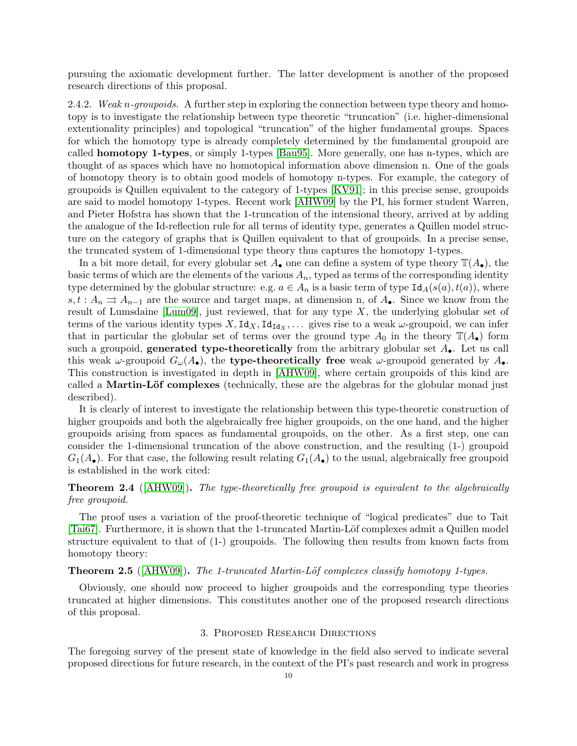pursuing the axiomatic development further. The latter development is another of the proposed research directions of this proposal.

2.4.2. Weak n-groupoids. A further step in exploring the connection between type theory and homotopy is to investigate the relationship between type theoretic "truncation" (i.e. higher-dimensional extentionality principles) and topological "truncation" of the higher fundamental groups. Spaces for which the homotopy type is already completely determined by the fundamental groupoid are called homotopy 1-types, or simply 1-types [\[Bau95\]](#page-15-24). More generally, one has n-types, which are thought of as spaces which have no homotopical information above dimension n. One of the goals of homotopy theory is to obtain good models of homotopy n-types. For example, the category of groupoids is Quillen equivalent to the category of 1-types [\[KV91\]](#page-16-10); in this precise sense, groupoids are said to model homotopy 1-types. Recent work [\[AHW09\]](#page-15-1) by the PI, his former student Warren, and Pieter Hofstra has shown that the 1-truncation of the intensional theory, arrived at by adding the analogue of the Id-reflection rule for all terms of identity type, generates a Quillen model structure on the category of graphs that is Quillen equivalent to that of groupoids. In a precise sense, the truncated system of 1-dimensional type theory thus captures the homotopy 1-types.

In a bit more detail, for every globular set  $A_{\bullet}$  one can define a system of type theory  $\mathbb{T}(A_{\bullet})$ , the basic terms of which are the elements of the various  $A_n$ , typed as terms of the corresponding identity type determined by the globular structure: e.g.  $a \in A_n$  is a basic term of type  $\text{Id}_A(s(a), t(a))$ , where  $s, t : A_n \rightrightarrows A_{n-1}$  are the source and target maps, at dimension n, of  $A_{\bullet}$ . Since we know from the result of Lumsdaine [\[Lum09\]](#page-16-1), just reviewed, that for any type  $X$ , the underlying globular set of terms of the various identity types  $X, \text{Id}_X, \text{Id}_{\text{Id}_X}, \ldots$  gives rise to a weak  $\omega$ -groupoid, we can infer that in particular the globular set of terms over the ground type  $A_0$  in the theory  $\mathbb{T}(A_{\bullet})$  form such a groupoid, **generated type-theoretically** from the arbitrary globular set  $A_{\bullet}$ . Let us call this weak  $\omega$ -groupoid  $G_{\omega}(A_{\bullet})$ , the **type-theoretically free** weak  $\omega$ -groupoid generated by  $A_{\bullet}$ . This construction is investigated in depth in [\[AHW09\]](#page-15-1), where certain groupoids of this kind are called a **Martin-Löf complexes** (technically, these are the algebras for the globular monad just described).

It is clearly of interest to investigate the relationship between this type-theoretic construction of higher groupoids and both the algebraically free higher groupoids, on the one hand, and the higher groupoids arising from spaces as fundamental groupoids, on the other. As a first step, one can consider the 1-dimensional truncation of the above construction, and the resulting (1-) groupoid  $G_1(A_\bullet)$ . For that case, the following result relating  $G_1(A_\bullet)$  to the usual, algebraically free groupoid is established in the work cited:

**Theorem 2.4** ([\[AHW09\]](#page-15-1)). The type-theoretically free groupoid is equivalent to the algebraically free groupoid.

The proof uses a variation of the proof-theoretic technique of "logical predicates" due to Tait [\[Tai67\]](#page-16-23). Furthermore, it is shown that the 1-truncated Martin-L¨of complexes admit a Quillen model structure equivalent to that of (1-) groupoids. The following then results from known facts from homotopy theory:

#### **Theorem 2.5** ( $[AHW09]$ ). The 1-truncated Martin-Löf complexes classify homotopy 1-types.

Obviously, one should now proceed to higher groupoids and the corresponding type theories truncated at higher dimensions. This constitutes another one of the proposed research directions of this proposal.

#### 3. Proposed Research Directions

<span id="page-9-0"></span>The foregoing survey of the present state of knowledge in the field also served to indicate several proposed directions for future research, in the context of the PI's past research and work in progress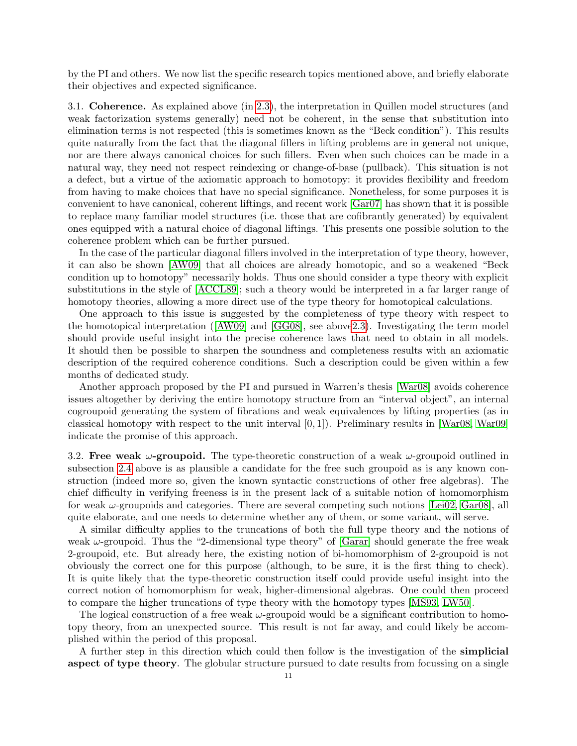by the PI and others. We now list the specific research topics mentioned above, and briefly elaborate their objectives and expected significance.

3.1. Coherence. As explained above (in [2.3\)](#page-4-0), the interpretation in Quillen model structures (and weak factorization systems generally) need not be coherent, in the sense that substitution into elimination terms is not respected (this is sometimes known as the "Beck condition"). This results quite naturally from the fact that the diagonal fillers in lifting problems are in general not unique, nor are there always canonical choices for such fillers. Even when such choices can be made in a natural way, they need not respect reindexing or change-of-base (pullback). This situation is not a defect, but a virtue of the axiomatic approach to homotopy: it provides flexibility and freedom from having to make choices that have no special significance. Nonetheless, for some purposes it is convenient to have canonical, coherent liftings, and recent work [\[Gar07\]](#page-15-19) has shown that it is possible to replace many familiar model structures (i.e. those that are cofibrantly generated) by equivalent ones equipped with a natural choice of diagonal liftings. This presents one possible solution to the coherence problem which can be further pursued.

In the case of the particular diagonal fillers involved in the interpretation of type theory, however, it can also be shown [\[AW09\]](#page-15-0) that all choices are already homotopic, and so a weakened "Beck condition up to homotopy" necessarily holds. Thus one should consider a type theory with explicit substitutions in the style of [\[ACCL89\]](#page-15-25); such a theory would be interpreted in a far larger range of homotopy theories, allowing a more direct use of the type theory for homotopical calculations.

One approach to this issue is suggested by the completeness of type theory with respect to the homotopical interpretation ([\[AW09\]](#page-15-0) and [\[GG08\]](#page-15-3), see abov[e2.3\)](#page-4-0). Investigating the term model should provide useful insight into the precise coherence laws that need to obtain in all models. It should then be possible to sharpen the soundness and completeness results with an axiomatic description of the required coherence conditions. Such a description could be given within a few months of dedicated study.

Another approach proposed by the PI and pursued in Warren's thesis [\[War08\]](#page-16-0) avoids coherence issues altogether by deriving the entire homotopy structure from an "interval object", an internal cogroupoid generating the system of fibrations and weak equivalences by lifting properties (as in classical homotopy with respect to the unit interval  $[0, 1]$ ). Preliminary results in [\[War08,](#page-16-0) [War09\]](#page-16-24) indicate the promise of this approach.

3.2. Free weak  $\omega$ -groupoid. The type-theoretic construction of a weak  $\omega$ -groupoid outlined in subsection [2.4](#page-7-0) above is as plausible a candidate for the free such groupoid as is any known construction (indeed more so, given the known syntactic constructions of other free algebras). The chief difficulty in verifying freeness is in the present lack of a suitable notion of homomorphism for weak  $\omega$ -groupoids and categories. There are several competing such notions [\[Lei02,](#page-16-20) [Gar08\]](#page-15-26), all quite elaborate, and one needs to determine whether any of them, or some variant, will serve.

A similar difficulty applies to the truncations of both the full type theory and the notions of weak  $\omega$ -groupoid. Thus the "2-dimensional type theory" of [\[Garar\]](#page-15-4) should generate the free weak 2-groupoid, etc. But already here, the existing notion of bi-homomorphism of 2-groupoid is not obviously the correct one for this purpose (although, to be sure, it is the first thing to check). It is quite likely that the type-theoretic construction itself could provide useful insight into the correct notion of homomorphism for weak, higher-dimensional algebras. One could then proceed to compare the higher truncations of type theory with the homotopy types [\[MS93,](#page-16-25) [LW50\]](#page-16-26).

The logical construction of a free weak  $\omega$ -groupoid would be a significant contribution to homotopy theory, from an unexpected source. This result is not far away, and could likely be accomplished within the period of this proposal.

A further step in this direction which could then follow is the investigation of the simplicial aspect of type theory. The globular structure pursued to date results from focussing on a single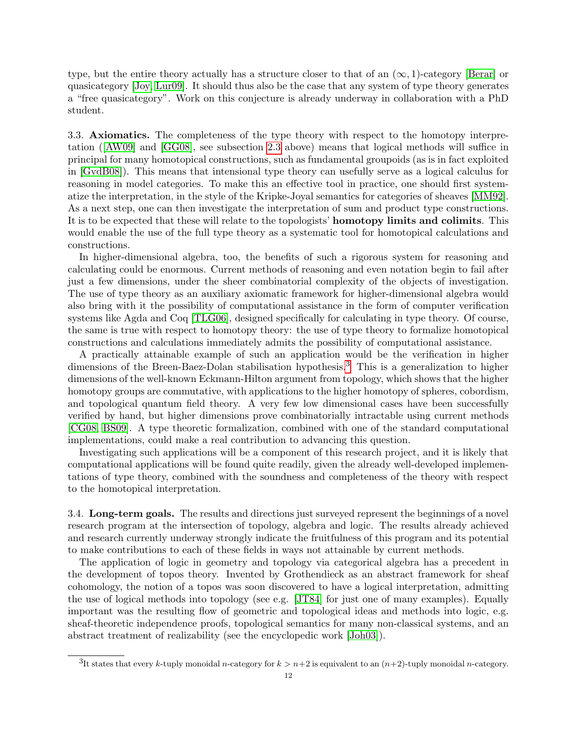type, but the entire theory actually has a structure closer to that of an  $(\infty, 1)$ -category [\[Berar\]](#page-15-23) or quasicategory [\[Joy,](#page-15-15) [Lur09\]](#page-16-13). It should thus also be the case that any system of type theory generates a "free quasicategory". Work on this conjecture is already underway in collaboration with a PhD student.

3.3. Axiomatics. The completeness of the type theory with respect to the homotopy interpretation ([\[AW09\]](#page-15-0) and [\[GG08\]](#page-15-3), see subsection [2.3](#page-4-0) above) means that logical methods will suffice in principal for many homotopical constructions, such as fundamental groupoids (as is in fact exploited in [\[GvdB08\]](#page-15-5)). This means that intensional type theory can usefully serve as a logical calculus for reasoning in model categories. To make this an effective tool in practice, one should first systematize the interpretation, in the style of the Kripke-Joyal semantics for categories of sheaves [\[MM92\]](#page-16-27). As a next step, one can then investigate the interpretation of sum and product type constructions. It is to be expected that these will relate to the topologists' homotopy limits and colimits. This would enable the use of the full type theory as a systematic tool for homotopical calculations and constructions.

In higher-dimensional algebra, too, the benefits of such a rigorous system for reasoning and calculating could be enormous. Current methods of reasoning and even notation begin to fail after just a few dimensions, under the sheer combinatorial complexity of the objects of investigation. The use of type theory as an auxiliary axiomatic framework for higher-dimensional algebra would also bring with it the possibility of computational assistance in the form of computer verification systems like Agda and Coq [\[TLG06\]](#page-16-9), designed specifically for calculating in type theory. Of course, the same is true with respect to homotopy theory: the use of type theory to formalize homotopical constructions and calculations immediately admits the possibility of computational assistance.

A practically attainable example of such an application would be the verification in higher dimensions of the Breen-Baez-Dolan stabilisation hypothesis.<sup>[3](#page-11-0)</sup> This is a generalization to higher dimensions of the well-known Eckmann-Hilton argument from topology, which shows that the higher homotopy groups are commutative, with applications to the higher homotopy of spheres, cobordism, and topological quantum field theory. A very few low dimensional cases have been successfully verified by hand, but higher dimensions prove combinatorially intractable using current methods [\[CG08,](#page-15-27) [BS09\]](#page-15-28). A type theoretic formalization, combined with one of the standard computational implementations, could make a real contribution to advancing this question.

Investigating such applications will be a component of this research project, and it is likely that computational applications will be found quite readily, given the already well-developed implementations of type theory, combined with the soundness and completeness of the theory with respect to the homotopical interpretation.

3.4. Long-term goals. The results and directions just surveyed represent the beginnings of a novel research program at the intersection of topology, algebra and logic. The results already achieved and research currently underway strongly indicate the fruitfulness of this program and its potential to make contributions to each of these fields in ways not attainable by current methods.

The application of logic in geometry and topology via categorical algebra has a precedent in the development of topos theory. Invented by Grothendieck as an abstract framework for sheaf cohomology, the notion of a topos was soon discovered to have a logical interpretation, admitting the use of logical methods into topology (see e.g. [\[JT84\]](#page-16-28) for just one of many examples). Equally important was the resulting flow of geometric and topological ideas and methods into logic, e.g. sheaf-theoretic independence proofs, topological semantics for many non-classical systems, and an abstract treatment of realizability (see the encyclopedic work [\[Joh03\]](#page-15-29)).

<span id="page-11-0"></span><sup>&</sup>lt;sup>3</sup>It states that every k-tuply monoidal *n*-category for  $k > n+2$  is equivalent to an  $(n+2)$ -tuply monoidal *n*-category.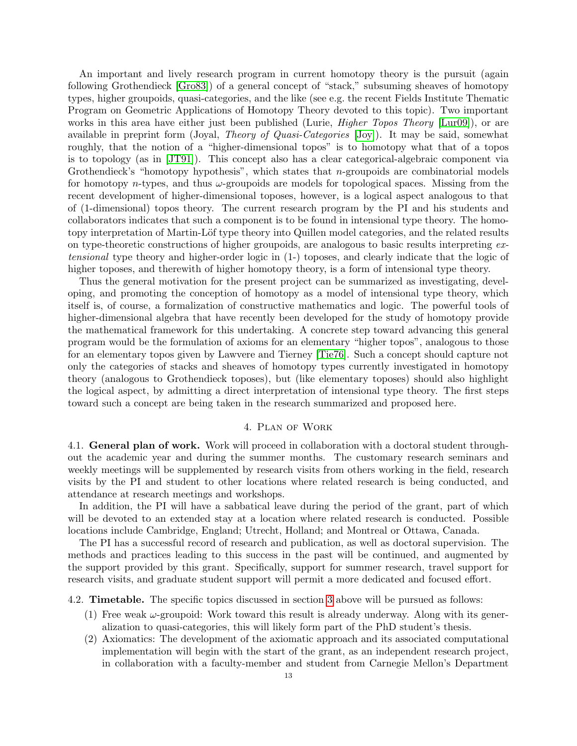An important and lively research program in current homotopy theory is the pursuit (again following Grothendieck [\[Gro83\]](#page-15-30)) of a general concept of "stack," subsuming sheaves of homotopy types, higher groupoids, quasi-categories, and the like (see e.g. the recent Fields Institute Thematic Program on Geometric Applications of Homotopy Theory devoted to this topic). Two important works in this area have either just been published (Lurie, *Higher Topos Theory* [\[Lur09\]](#page-16-13)), or are available in preprint form (Joyal, Theory of Quasi-Categories [\[Joy\]](#page-15-15)). It may be said, somewhat roughly, that the notion of a "higher-dimensional topos" is to homotopy what that of a topos is to topology (as in [\[JT91\]](#page-16-29)). This concept also has a clear categorical-algebraic component via Grothendieck's "homotopy hypothesis", which states that n-groupoids are combinatorial models for homotopy *n*-types, and thus  $\omega$ -groupoids are models for topological spaces. Missing from the recent development of higher-dimensional toposes, however, is a logical aspect analogous to that of (1-dimensional) topos theory. The current research program by the PI and his students and collaborators indicates that such a component is to be found in intensional type theory. The homotopy interpretation of Martin-Löf type theory into Quillen model categories, and the related results on type-theoretic constructions of higher groupoids, are analogous to basic results interpreting extensional type theory and higher-order logic in (1-) toposes, and clearly indicate that the logic of higher toposes, and therewith of higher homotopy theory, is a form of intensional type theory.

Thus the general motivation for the present project can be summarized as investigating, developing, and promoting the conception of homotopy as a model of intensional type theory, which itself is, of course, a formalization of constructive mathematics and logic. The powerful tools of higher-dimensional algebra that have recently been developed for the study of homotopy provide the mathematical framework for this undertaking. A concrete step toward advancing this general program would be the formulation of axioms for an elementary "higher topos", analogous to those for an elementary topos given by Lawvere and Tierney [\[Tie76\]](#page-16-30). Such a concept should capture not only the categories of stacks and sheaves of homotopy types currently investigated in homotopy theory (analogous to Grothendieck toposes), but (like elementary toposes) should also highlight the logical aspect, by admitting a direct interpretation of intensional type theory. The first steps toward such a concept are being taken in the research summarized and proposed here.

#### 4. Plan of Work

4.1. General plan of work. Work will proceed in collaboration with a doctoral student throughout the academic year and during the summer months. The customary research seminars and weekly meetings will be supplemented by research visits from others working in the field, research visits by the PI and student to other locations where related research is being conducted, and attendance at research meetings and workshops.

In addition, the PI will have a sabbatical leave during the period of the grant, part of which will be devoted to an extended stay at a location where related research is conducted. Possible locations include Cambridge, England; Utrecht, Holland; and Montreal or Ottawa, Canada.

The PI has a successful record of research and publication, as well as doctoral supervision. The methods and practices leading to this success in the past will be continued, and augmented by the support provided by this grant. Specifically, support for summer research, travel support for research visits, and graduate student support will permit a more dedicated and focused effort.

4.2. Timetable. The specific topics discussed in section [3](#page-9-0) above will be pursued as follows:

- (1) Free weak  $\omega$ -groupoid: Work toward this result is already underway. Along with its generalization to quasi-categories, this will likely form part of the PhD student's thesis.
- (2) Axiomatics: The development of the axiomatic approach and its associated computational implementation will begin with the start of the grant, as an independent research project, in collaboration with a faculty-member and student from Carnegie Mellon's Department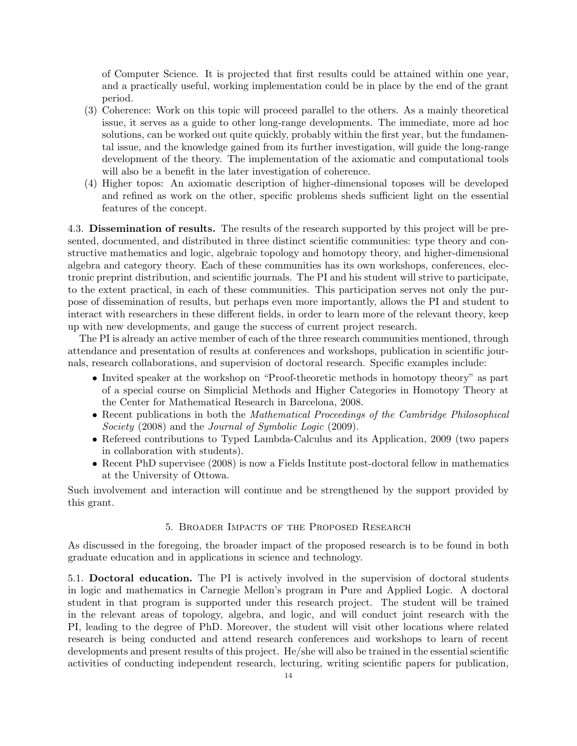of Computer Science. It is projected that first results could be attained within one year, and a practically useful, working implementation could be in place by the end of the grant period.

- (3) Coherence: Work on this topic will proceed parallel to the others. As a mainly theoretical issue, it serves as a guide to other long-range developments. The immediate, more ad hoc solutions, can be worked out quite quickly, probably within the first year, but the fundamental issue, and the knowledge gained from its further investigation, will guide the long-range development of the theory. The implementation of the axiomatic and computational tools will also be a benefit in the later investigation of coherence.
- (4) Higher topos: An axiomatic description of higher-dimensional toposes will be developed and refined as work on the other, specific problems sheds sufficient light on the essential features of the concept.

4.3. Dissemination of results. The results of the research supported by this project will be presented, documented, and distributed in three distinct scientific communities: type theory and constructive mathematics and logic, algebraic topology and homotopy theory, and higher-dimensional algebra and category theory. Each of these communities has its own workshops, conferences, electronic preprint distribution, and scientific journals. The PI and his student will strive to participate, to the extent practical, in each of these communities. This participation serves not only the purpose of dissemination of results, but perhaps even more importantly, allows the PI and student to interact with researchers in these different fields, in order to learn more of the relevant theory, keep up with new developments, and gauge the success of current project research.

The PI is already an active member of each of the three research communities mentioned, through attendance and presentation of results at conferences and workshops, publication in scientific journals, research collaborations, and supervision of doctoral research. Specific examples include:

- Invited speaker at the workshop on "Proof-theoretic methods in homotopy theory" as part of a special course on Simplicial Methods and Higher Categories in Homotopy Theory at the Center for Mathematical Research in Barcelona, 2008.
- Recent publications in both the *Mathematical Proceedings of the Cambridge Philosophical* Society (2008) and the Journal of Symbolic Logic (2009).
- Refereed contributions to Typed Lambda-Calculus and its Application, 2009 (two papers in collaboration with students).
- Recent PhD supervisee (2008) is now a Fields Institute post-doctoral fellow in mathematics at the University of Ottowa.

Such involvement and interaction will continue and be strengthened by the support provided by this grant.

## 5. Broader Impacts of the Proposed Research

As discussed in the foregoing, the broader impact of the proposed research is to be found in both graduate education and in applications in science and technology.

5.1. Doctoral education. The PI is actively involved in the supervision of doctoral students in logic and mathematics in Carnegie Mellon's program in Pure and Applied Logic. A doctoral student in that program is supported under this research project. The student will be trained in the relevant areas of topology, algebra, and logic, and will conduct joint research with the PI, leading to the degree of PhD. Moreover, the student will visit other locations where related research is being conducted and attend research conferences and workshops to learn of recent developments and present results of this project. He/she will also be trained in the essential scientific activities of conducting independent research, lecturing, writing scientific papers for publication,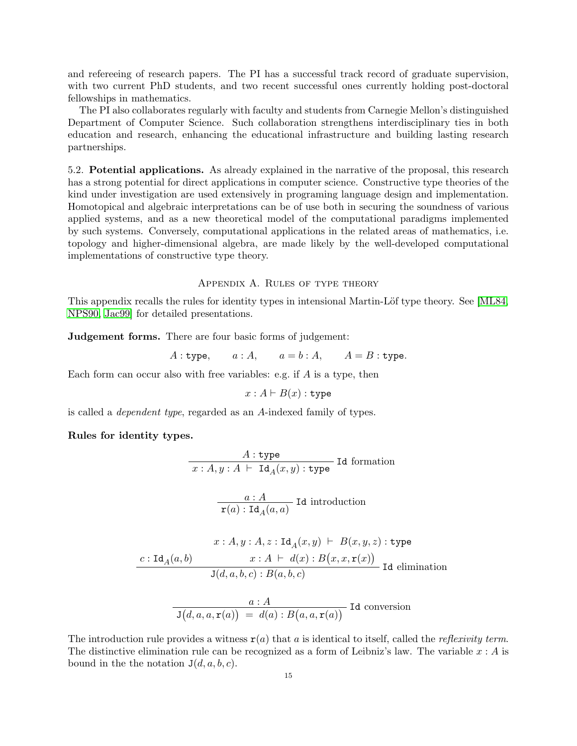and refereeing of research papers. The PI has a successful track record of graduate supervision, with two current PhD students, and two recent successful ones currently holding post-doctoral fellowships in mathematics.

The PI also collaborates regularly with faculty and students from Carnegie Mellon's distinguished Department of Computer Science. Such collaboration strengthens interdisciplinary ties in both education and research, enhancing the educational infrastructure and building lasting research partnerships.

5.2. Potential applications. As already explained in the narrative of the proposal, this research has a strong potential for direct applications in computer science. Constructive type theories of the kind under investigation are used extensively in programing language design and implementation. Homotopical and algebraic interpretations can be of use both in securing the soundness of various applied systems, and as a new theoretical model of the computational paradigms implemented by such systems. Conversely, computational applications in the related areas of mathematics, i.e. topology and higher-dimensional algebra, are made likely by the well-developed computational implementations of constructive type theory.

#### Appendix A. Rules of type theory

This appendix recalls the rules for identity types in intensional Martin-Löf type theory. See [\[ML84,](#page-16-4) [NPS90,](#page-16-5) [Jac99\]](#page-15-31) for detailed presentations.

Judgement forms. There are four basic forms of judgement:

 $A:$  type,  $a:A$ ,  $a=b:A$ ,  $A=B:$  type.

Each form can occur also with free variables: e.g. if  $A$  is a type, then

$$
x:A\vdash B(x):\mathtt{type}
$$

is called a dependent type, regarded as an A-indexed family of types.

## Rules for identity types.

$$
A: \text{type}
$$
  
 $x: A, y: A \vdash \text{Id}_{A}(x, y): \text{type}$   

$$
\frac{a: A}{a(a) \cdot \text{Id}_{A}(x, y)} \text{Id introduction}
$$

$$
\mathbf{r}(a) : \mathrm{Id}_{A}(a, a) \xrightarrow{\text{var of } \mathrm{Ind}(a, a)} \mathbf{r}(a) \xrightarrow{\text{var of } \mathrm{Ind}(a, a)} \mathbf{r}(a) \xrightarrow{\text{var of } \mathrm{Ind}(a, a)} \mathbf{r}(a) \xrightarrow{\text{var of } \mathrm{Ind}(a, a)} \mathbf{r}(a) \xrightarrow{\text{var of } \mathrm{Ind}(a, a)} \mathbf{r}(a) \xrightarrow{\text{var of } \mathrm{Ind}(a, a)} \mathbf{r}(a) \xrightarrow{\text{var of } \mathrm{Ind}(a, a)} \mathbf{r}(a) \xrightarrow{\text{var of } \mathrm{Ind}(a, a)} \mathbf{r}(a) \xrightarrow{\text{var of } \mathrm{Ind}(a, a)} \mathbf{r}(a) \xrightarrow{\text{var of } \mathrm{Ind}(a, a)} \mathbf{r}(a) \xrightarrow{\text{var of } \mathrm{Ind}(a, a)} \mathbf{r}(a) \xrightarrow{\text{var of } \mathrm{Ind}(a, a)} \mathbf{r}(a) \xrightarrow{\text{var of } \mathrm{Ind}(a, a)} \mathbf{r}(a) \xrightarrow{\text{var of } \mathrm{Ind}(a, a)} \mathbf{r}(a) \xrightarrow{\text{var of } \mathrm{Ind}(a, a)} \mathbf{r}(a) \xrightarrow{\text{var of } \mathrm{Ind}(a, a)} \mathbf{r}(a) \xrightarrow{\text{var of } \mathrm{Ind}(a, a)} \mathbf{r}(a) \xrightarrow{\text{var of } \mathrm{Ind}(a, a)} \mathbf{r}(a) \xrightarrow{\text{var of } \mathrm{Ind}(a, a)} \mathbf{r}(a) \xrightarrow{\text{var of } \mathrm{Ind}(a, a)} \mathbf{r}(a) \xrightarrow{\text{var of } \mathrm{Ind}(a, a)} \mathbf{r}(a) \xrightarrow{\text{var of } \mathrm{Ind}(a, a)} \mathbf{r}(a) \xrightarrow{\text{var of } \mathrm{Ind}(a, a)} \mathbf{r}(a) \xrightarrow{\text{var of } \mathrm{Ind}(a, a)} \mathbf{r}(a) \xrightarrow{\text{var of } \mathrm{Ind}(a, a)} \mathbf{r}(a) \xrightarrow{\text{var of } \mathrm{Ind}(a, a)} \mathbf{r}(a) \xrightarrow{\text{var of } \mathrm{Ind}(a, a)} \mathbf{r}(a) \xrightarrow{\text{var of } \mathrm{Ind}(a, a)} \mathbf{r}(a) \xrightarrow{\text{var of } \mathrm{
$$

$$
x : A, y : A, z : \mathrm{Id}_A(x, y) \vdash B(x, y, z) : \mathrm{type}
$$

$$
\underbrace{c : \mathrm{Id}_A(a, b)}_{\mathrm{J}(d, a, b, c) : B(a, b, c)} \vdash B(x, x, \mathrm{r}(x))}_{\mathrm{Id} \text{ elimination}}
$$

$$
\frac{a : A}{\text{J}(d, a, a, \textbf{r}(a))} = d(a) : B(a, a, \textbf{r}(a))
$$
Id conversion

The introduction rule provides a witness  $r(a)$  that a is identical to itself, called the *reflexivity term*. The distinctive elimination rule can be recognized as a form of Leibniz's law. The variable  $x : A$  is bound in the the notation  $J(d, a, b, c)$ .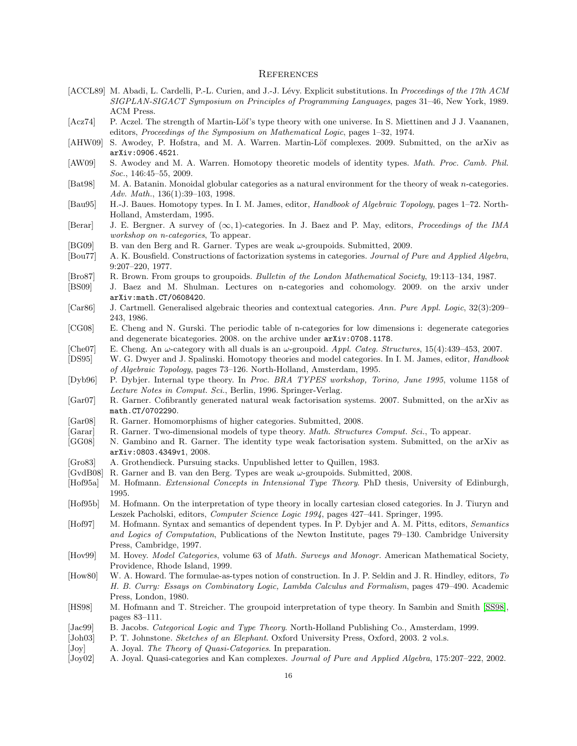#### **REFERENCES**

- <span id="page-15-25"></span>[ACCL89] M. Abadi, L. Cardelli, P.-L. Curien, and J.-J. Lévy. Explicit substitutions. In Proceedings of the 17th ACM SIGPLAN-SIGACT Symposium on Principles of Programming Languages, pages 31–46, New York, 1989. ACM Press.
- <span id="page-15-7"></span>[Acz74] P. Aczel. The strength of Martin-Löf's type theory with one universe. In S. Miettinen and J J. Vaananen, editors, Proceedings of the Symposium on Mathematical Logic, pages 1–32, 1974.
- <span id="page-15-1"></span>[AHW09] S. Awodey, P. Hofstra, and M. A. Warren. Martin-Löf complexes. 2009. Submitted, on the arXiv as arXiv:0906.4521.
- <span id="page-15-0"></span>[AW09] S. Awodey and M. A. Warren. Homotopy theoretic models of identity types. *Math. Proc. Camb. Phil.* Soc., 146:45–55, 2009.
- <span id="page-15-22"></span>[Bat98] M. A. Batanin. Monoidal globular categories as a natural environment for the theory of weak *n*-categories. Adv. Math., 136(1):39–103, 1998.
- <span id="page-15-24"></span>[Bau95] H.-J. Baues. Homotopy types. In I. M. James, editor, Handbook of Algebraic Topology, pages 1–72. North-Holland, Amsterdam, 1995.
- <span id="page-15-23"></span>[Berar] J. E. Bergner. A survey of  $(\infty, 1)$ -categories. In J. Baez and P. May, editors, *Proceedings of the IMA* workshop on n-categories, To appear.
- <span id="page-15-2"></span>[BG09] B. van den Berg and R. Garner. Types are weak ω-groupoids. Submitted, 2009.
- <span id="page-15-16"></span>[Bou77] A. K. Bousfield. Constructions of factorization systems in categories. Journal of Pure and Applied Algebra, 9:207–220, 1977.
- <span id="page-15-21"></span>[Bro87] R. Brown. From groups to groupoids. Bulletin of the London Mathematical Society, 19:113–134, 1987.
- <span id="page-15-28"></span>[BS09] J. Baez and M. Shulman. Lectures on n-categories and cohomology. 2009. on the arxiv under arXiv:math.CT/0608420.
- <span id="page-15-11"></span>[Car86] J. Cartmell. Generalised algebraic theories and contextual categories. Ann. Pure Appl. Logic, 32(3):209– 243, 1986.
- <span id="page-15-27"></span>[CG08] E. Cheng and N. Gurski. The periodic table of n-categories for low dimensions i: degenerate categories and degenerate bicategories. 2008. on the archive under arXiv:0708.1178.
- <span id="page-15-20"></span>[Che07] E. Cheng. An  $\omega$ -category with all duals is an  $\omega$ -groupoid. Appl. Categ. Structures, 15(4):439-453, 2007.
- <span id="page-15-17"></span>[DS95] W. G. Dwyer and J. Spalinski. Homotopy theories and model categories. In I. M. James, editor, *Handbook* of Algebraic Topology, pages 73–126. North-Holland, Amsterdam, 1995.
- <span id="page-15-13"></span>[Dyb96] P. Dybjer. Internal type theory. In Proc. BRA TYPES workshop, Torino, June 1995, volume 1158 of Lecture Notes in Comput. Sci., Berlin, 1996. Springer-Verlag.
- <span id="page-15-19"></span>[Gar07] R. Garner. Cofibrantly generated natural weak factorisation systems. 2007. Submitted, on the arXiv as math.CT/0702290.
- <span id="page-15-26"></span>[Gar08] R. Garner. Homomorphisms of higher categories. Submitted, 2008.
- <span id="page-15-4"></span>[Garar] R. Garner. Two-dimensional models of type theory. Math. Structures Comput. Sci., To appear.
- <span id="page-15-3"></span>[GG08] N. Gambino and R. Garner. The identity type weak factorisation system. Submitted, on the arXiv as arXiv:0803.4349v1, 2008.
- <span id="page-15-30"></span>[Gro83] A. Grothendieck. Pursuing stacks. Unpublished letter to Quillen, 1983.
- <span id="page-15-5"></span>[GvdB08] R. Garner and B. van den Berg. Types are weak ω-groupoids. Submitted, 2008.
- <span id="page-15-8"></span>[Hof95a] M. Hofmann. Extensional Concepts in Intensional Type Theory. PhD thesis, University of Edinburgh, 1995.
- <span id="page-15-12"></span>[Hof95b] M. Hofmann. On the interpretation of type theory in locally cartesian closed categories. In J. Tiuryn and Leszek Pacholski, editors, Computer Science Logic 1994, pages 427–441. Springer, 1995.
- <span id="page-15-10"></span>[Hof97] M. Hofmann. Syntax and semantics of dependent types. In P. Dybjer and A. M. Pitts, editors, Semantics and Logics of Computation, Publications of the Newton Institute, pages 79–130. Cambridge University Press, Cambridge, 1997.
- <span id="page-15-18"></span>[Hov99] M. Hovey. *Model Categories*, volume 63 of *Math. Surveys and Monogr.* American Mathematical Society, Providence, Rhode Island, 1999.
- <span id="page-15-6"></span>[How80] W. A. Howard. The formulae-as-types notion of construction. In J. P. Seldin and J. R. Hindley, editors, To H. B. Curry: Essays on Combinatory Logic, Lambda Calculus and Formalism, pages 479–490. Academic Press, London, 1980.
- <span id="page-15-9"></span>[HS98] M. Hofmann and T. Streicher. The groupoid interpretation of type theory. In Sambin and Smith [\[SS98\]](#page-16-31), pages 83–111.
- <span id="page-15-31"></span>[Jac99] B. Jacobs. *Categorical Logic and Type Theory*. North-Holland Publishing Co., Amsterdam, 1999.
- <span id="page-15-29"></span>[Joh03] P. T. Johnstone. Sketches of an Elephant. Oxford University Press, Oxford, 2003. 2 vol.s.
- <span id="page-15-15"></span>[Joy] A. Joyal. The Theory of Quasi-Categories. In preparation.
- <span id="page-15-14"></span>[Joy02] A. Joyal. Quasi-categories and Kan complexes. Journal of Pure and Applied Algebra, 175:207–222, 2002.